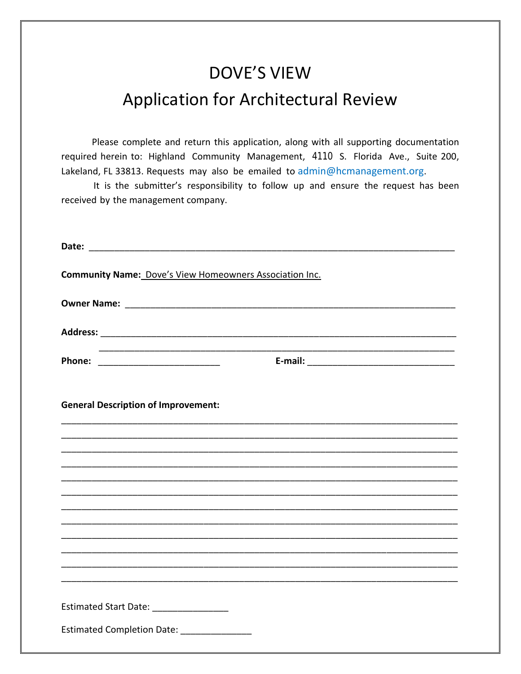# **DOVE'S VIEW Application for Architectural Review**

Please complete and return this application, along with all supporting documentation required herein to: Highland Community Management, 4110 S. Florida Ave., Suite 200, Lakeland, FL 33813. Requests may also be emailed to admin@hcmanagement.org.

It is the submitter's responsibility to follow up and ensure the request has been received by the management company.

| <b>Community Name: Dove's View Homeowners Association Inc.</b> |  |  |  |  |
|----------------------------------------------------------------|--|--|--|--|
|                                                                |  |  |  |  |
|                                                                |  |  |  |  |
|                                                                |  |  |  |  |
| <b>General Description of Improvement:</b>                     |  |  |  |  |
|                                                                |  |  |  |  |
|                                                                |  |  |  |  |
|                                                                |  |  |  |  |
|                                                                |  |  |  |  |
|                                                                |  |  |  |  |
|                                                                |  |  |  |  |
|                                                                |  |  |  |  |
|                                                                |  |  |  |  |
| Estimated Start Date: _________________                        |  |  |  |  |
| Estimated Completion Date: ________________                    |  |  |  |  |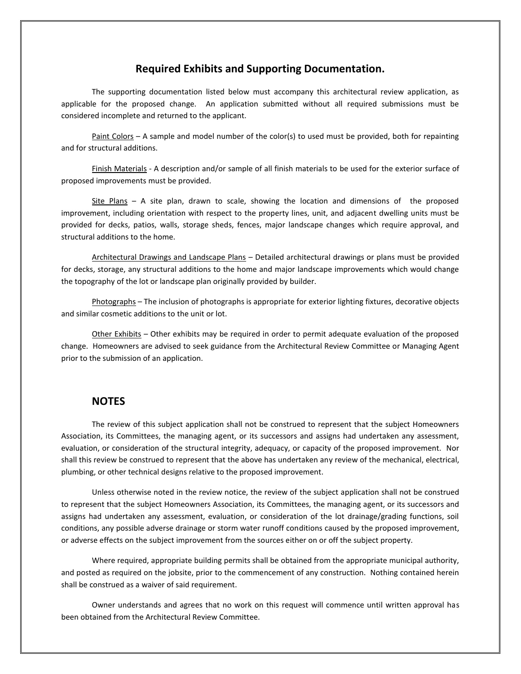#### **Required Exhibits and Supporting Documentation.**

The supporting documentation listed below must accompany this architectural review application, as applicable for the proposed change. An application submitted without all required submissions must be considered incomplete and returned to the applicant.

Paint Colors – A sample and model number of the color(s) to used must be provided, both for repainting and for structural additions.

Finish Materials - A description and/or sample of all finish materials to be used for the exterior surface of proposed improvements must be provided.

Site Plans – A site plan, drawn to scale, showing the location and dimensions of the proposed improvement, including orientation with respect to the property lines, unit, and adjacent dwelling units must be provided for decks, patios, walls, storage sheds, fences, major landscape changes which require approval, and structural additions to the home.

Architectural Drawings and Landscape Plans – Detailed architectural drawings or plans must be provided for decks, storage, any structural additions to the home and major landscape improvements which would change the topography of the lot or landscape plan originally provided by builder.

Photographs – The inclusion of photographs is appropriate for exterior lighting fixtures, decorative objects and similar cosmetic additions to the unit or lot.

Other Exhibits – Other exhibits may be required in order to permit adequate evaluation of the proposed change. Homeowners are advised to seek guidance from the Architectural Review Committee or Managing Agent prior to the submission of an application.

#### **NOTES**

The review of this subject application shall not be construed to represent that the subject Homeowners Association, its Committees, the managing agent, or its successors and assigns had undertaken any assessment, evaluation, or consideration of the structural integrity, adequacy, or capacity of the proposed improvement. Nor shall this review be construed to represent that the above has undertaken any review of the mechanical, electrical, plumbing, or other technical designs relative to the proposed improvement.

Unless otherwise noted in the review notice, the review of the subject application shall not be construed to represent that the subject Homeowners Association, its Committees, the managing agent, or its successors and assigns had undertaken any assessment, evaluation, or consideration of the lot drainage/grading functions, soil conditions, any possible adverse drainage or storm water runoff conditions caused by the proposed improvement, or adverse effects on the subject improvement from the sources either on or off the subject property.

Where required, appropriate building permits shall be obtained from the appropriate municipal authority, and posted as required on the jobsite, prior to the commencement of any construction. Nothing contained herein shall be construed as a waiver of said requirement.

Owner understands and agrees that no work on this request will commence until written approval has been obtained from the Architectural Review Committee.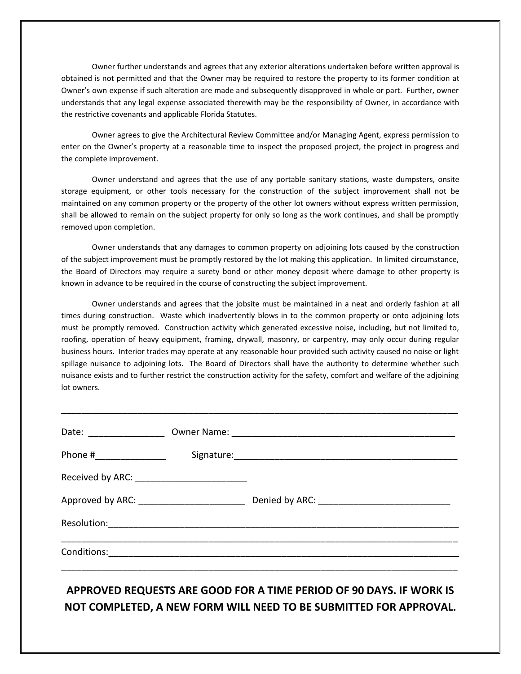Owner further understands and agrees that any exterior alterations undertaken before written approval is obtained is not permitted and that the Owner may be required to restore the property to its former condition at Owner's own expense if such alteration are made and subsequently disapproved in whole or part. Further, owner understands that any legal expense associated therewith may be the responsibility of Owner, in accordance with the restrictive covenants and applicable Florida Statutes.

Owner agrees to give the Architectural Review Committee and/or Managing Agent, express permission to enter on the Owner's property at a reasonable time to inspect the proposed project, the project in progress and the complete improvement.

Owner understand and agrees that the use of any portable sanitary stations, waste dumpsters, onsite storage equipment, or other tools necessary for the construction of the subject improvement shall not be maintained on any common property or the property of the other lot owners without express written permission, shall be allowed to remain on the subject property for only so long as the work continues, and shall be promptly removed upon completion.

Owner understands that any damages to common property on adjoining lots caused by the construction of the subject improvement must be promptly restored by the lot making this application. In limited circumstance, the Board of Directors may require a surety bond or other money deposit where damage to other property is known in advance to be required in the course of constructing the subject improvement.

Owner understands and agrees that the jobsite must be maintained in a neat and orderly fashion at all times during construction. Waste which inadvertently blows in to the common property or onto adjoining lots must be promptly removed. Construction activity which generated excessive noise, including, but not limited to, roofing, operation of heavy equipment, framing, drywall, masonry, or carpentry, may only occur during regular business hours. Interior trades may operate at any reasonable hour provided such activity caused no noise or light spillage nuisance to adjoining lots. The Board of Directors shall have the authority to determine whether such nuisance exists and to further restrict the construction activity for the safety, comfort and welfare of the adjoining lot owners.

**\_\_\_\_\_\_\_\_\_\_\_\_\_\_\_\_\_\_\_\_\_\_\_\_\_\_\_\_\_\_\_\_\_\_\_\_\_\_\_\_\_\_\_\_\_\_\_\_\_\_\_\_\_\_\_\_\_\_\_\_\_\_\_\_\_\_\_\_\_\_\_\_\_\_\_\_\_\_**

| Date: _________________                        |  |
|------------------------------------------------|--|
|                                                |  |
| Received by ARC: _____________________________ |  |
| Approved by ARC: _______________________       |  |
|                                                |  |
|                                                |  |

### **APPROVED REQUESTS ARE GOOD FOR A TIME PERIOD OF 90 DAYS. IF WORK IS NOT COMPLETED, A NEW FORM WILL NEED TO BE SUBMITTED FOR APPROVAL.**